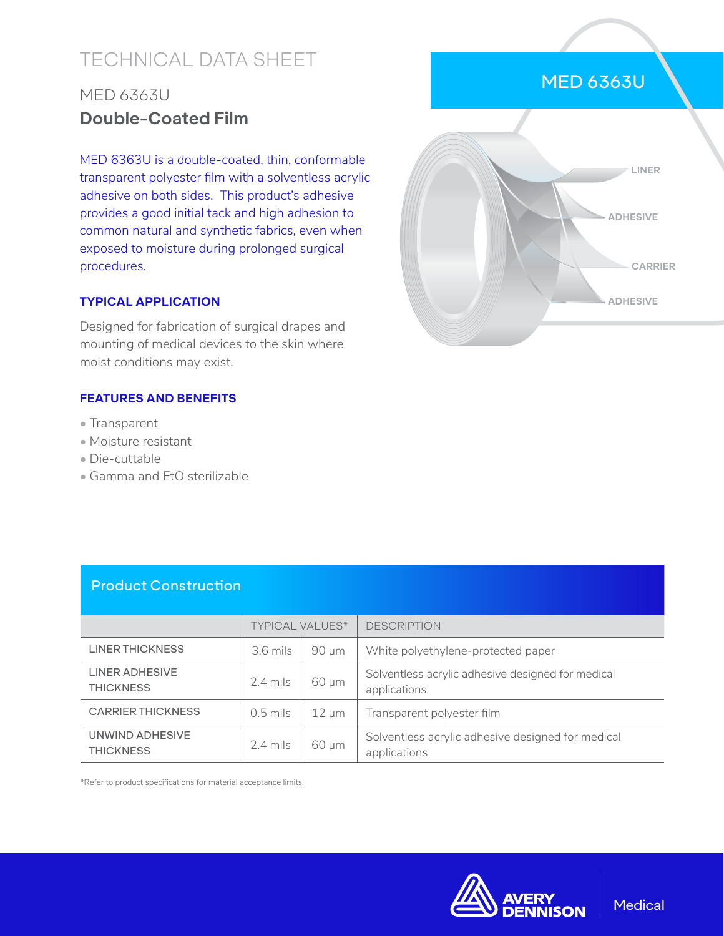# TECHNICAL DATA SHEET

## MED 6363U **Double-Coated Film**

MED 6363U is a double-coated, thin, conformable transparent polyester film with a solventless acrylic adhesive on both sides. This product's adhesive provides a good initial tack and high adhesion to common natural and synthetic fabrics, even when exposed to moisture during prolonged surgical procedures.

#### **TYPICAL APPLICATION**

Designed for fabrication of surgical drapes and mounting of medical devices to the skin where moist conditions may exist.

#### **FEATURES AND BENEFITS**

- Transparent
- Moisture resistant
- Die-cuttable
- Gamma and EtO sterilizable



MED 6363U

### Product Construction

|                                           | <b>TYPICAL VALUES*</b> |            | <b>DESCRIPTION</b>                                                |  |
|-------------------------------------------|------------------------|------------|-------------------------------------------------------------------|--|
| LINER THICKNESS                           | $3.6$ mils             | $90 \mu m$ | White polyethylene-protected paper                                |  |
| <b>LINER ADHESIVE</b><br><b>THICKNESS</b> | $2.4$ mils             | $60 \mu m$ | Solventless acrylic adhesive designed for medical<br>applications |  |
| <b>CARRIER THICKNESS</b>                  | $0.5$ mils             | $12 \mu m$ | Transparent polyester film                                        |  |
| UNWIND ADHESIVE<br><b>THICKNESS</b>       | $2.4$ mils             | 60 µm      | Solventless acrylic adhesive designed for medical<br>applications |  |

\*Refer to product specifications for material acceptance limits.